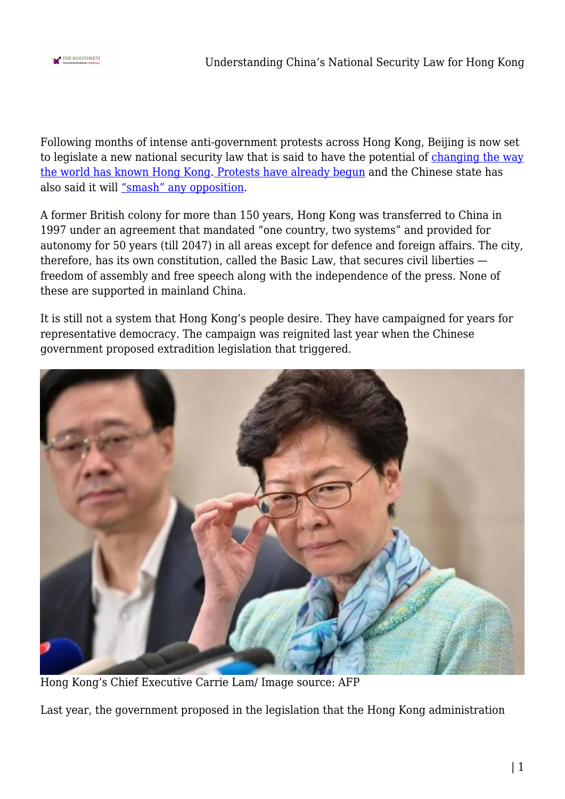

Following months of intense anti-government protests across Hong Kong, Beijing is now set to legislate a new national security law that is said to have the potential of [changing the way](https://edition.cnn.com/2020/05/22/asia/hong-kong-china-national-security-law-intl-hnk/index.html) [the world has known Hong Kong](https://edition.cnn.com/2020/05/22/asia/hong-kong-china-national-security-law-intl-hnk/index.html)[. Protests have already begun](https://youtu.be/-08G6QwaXxg) and the Chinese state has also said it will ["smash" any opposition](https://www.dailymail.co.uk/news/article-8357253/Chinese-army-says-ready-smash-Hong-Kong-demonstrations-against-new-national-security-law.html).

A former British colony for more than 150 years, Hong Kong was transferred to China in 1997 under an agreement that mandated "one country, two systems" and provided for autonomy for 50 years (till 2047) in all areas except for defence and foreign affairs. The city, therefore, has its own constitution, called the Basic Law, that secures civil liberties freedom of assembly and free speech along with the independence of the press. None of these are supported in mainland China.

It is still not a system that Hong Kong's people desire. They have campaigned for years for representative democracy. The campaign was reignited last year when the Chinese government proposed extradition legislation that triggered.



Hong Kong's Chief Executive Carrie Lam/ Image source: AFP

Last year, the government proposed in the legislation that the Hong Kong administration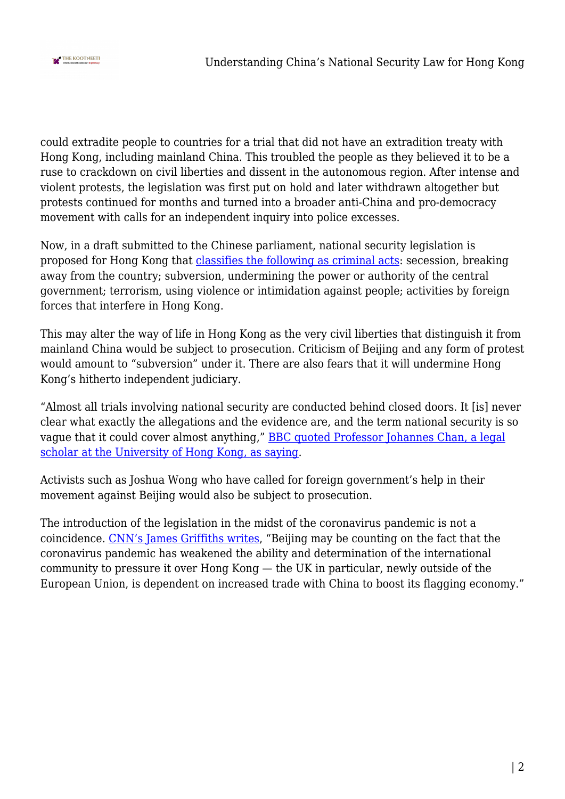

could extradite people to countries for a trial that did not have an extradition treaty with Hong Kong, including mainland China. This troubled the people as they believed it to be a ruse to crackdown on civil liberties and dissent in the autonomous region. After intense and violent protests, the legislation was first put on hold and later withdrawn altogether but protests continued for months and turned into a broader anti-China and pro-democracy movement with calls for an independent inquiry into police excesses.

Now, in a draft submitted to the Chinese parliament, national security legislation is proposed for Hong Kong that [classifies the following as criminal acts](https://www.bbc.com/news/world-asia-china-52765838): secession, breaking away from the country; subversion, undermining the power or authority of the central government; terrorism, using violence or intimidation against people; activities by foreign forces that interfere in Hong Kong.

This may alter the way of life in Hong Kong as the very civil liberties that distinguish it from mainland China would be subject to prosecution. Criticism of Beijing and any form of protest would amount to "subversion" under it. There are also fears that it will undermine Hong Kong's hitherto independent judiciary.

"Almost all trials involving national security are conducted behind closed doors. It [is] never clear what exactly the allegations and the evidence are, and the term national security is so vague that it could cover almost anything," **BBC** quoted Professor Johannes Chan, a legal [scholar at the University of Hong Kong, as saying.](https://www.bbc.com/news/world-asia-china-52765838)

Activists such as Joshua Wong who have called for foreign government's help in their movement against Beijing would also be subject to prosecution.

The introduction of the legislation in the midst of the coronavirus pandemic is not a coincidence. [CNN's James Griffiths writes](https://edition.cnn.com/2020/05/22/asia/hong-kong-china-national-security-law-intl-hnk/index.html), "Beijing may be counting on the fact that the coronavirus pandemic has weakened the ability and determination of the international community to pressure it over Hong Kong — the UK in particular, newly outside of the European Union, is dependent on increased trade with China to boost its flagging economy."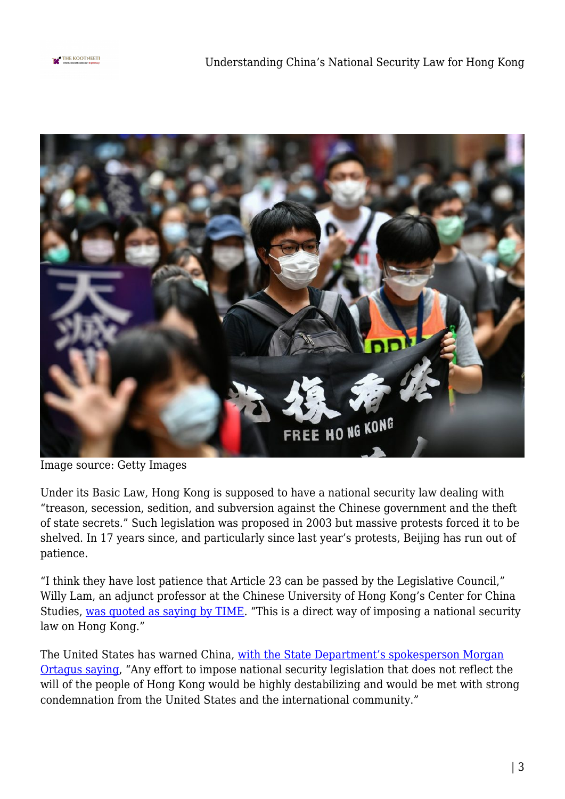



Image source: Getty Images

Under its Basic Law, Hong Kong is supposed to have a national security law dealing with "treason, secession, sedition, and subversion against the Chinese government and the theft of state secrets." Such legislation was proposed in 2003 but massive protests forced it to be shelved. In 17 years since, and particularly since last year's protests, Beijing has run out of patience.

"I think they have lost patience that Article 23 can be passed by the Legislative Council," Willy Lam, an adjunct professor at the Chinese University of Hong Kong's Center for China Studies, [was quoted as saying by TIME](https://time.com/5841283/hong-kong-national-security-law-china/). "This is a direct way of imposing a national security law on Hong Kong."

The United States has warned China, [with the State Department's spokesperson Morgan](https://www.reuters.com/article/china-parliament-hongkong-usa-idUSL1N2D31WG) [Ortagus saying,](https://www.reuters.com/article/china-parliament-hongkong-usa-idUSL1N2D31WG) "Any effort to impose national security legislation that does not reflect the will of the people of Hong Kong would be highly destabilizing and would be met with strong condemnation from the United States and the international community."